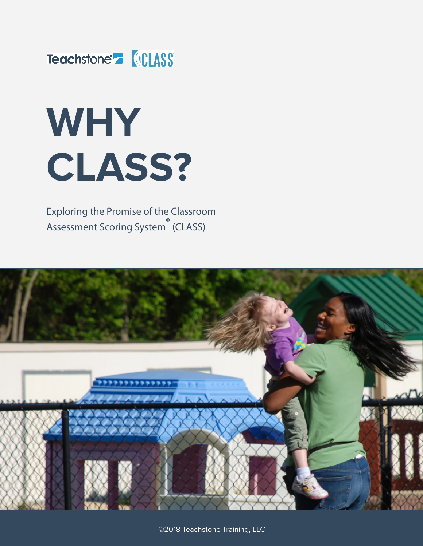

# **WHY CLASS?**

Exploring the Promise of the Classroom Assessment Scoring System ® (CLASS)



©2018 Teachstone Training, LLC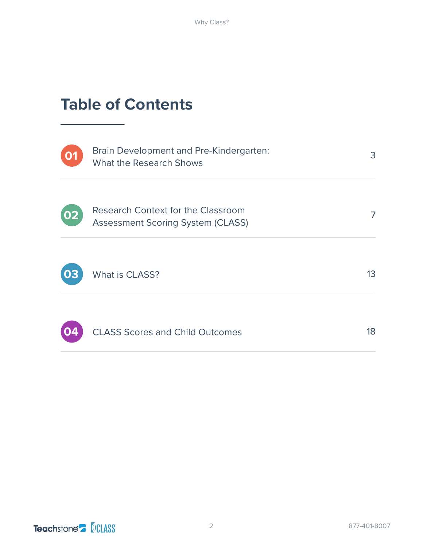## **Table of Contents**



Brain Development and Pre-Kindergarten: What the Research Shows



| Research Context for the Classroom       |
|------------------------------------------|
| <b>Assessment Scoring System (CLASS)</b> |



What is CLASS?



CLASS Scores and Child Outcomes

18

13

3

7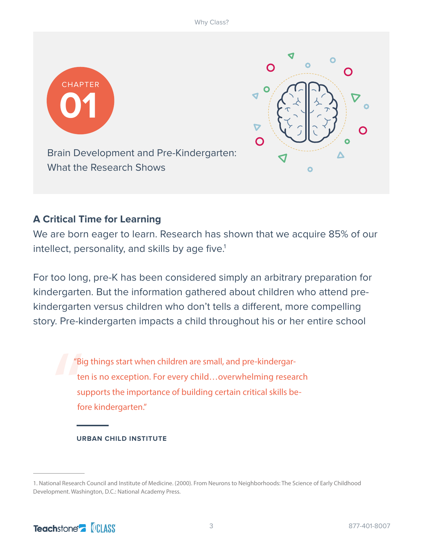



Brain Development and Pre-Kindergarten: What the Research Shows

## **A Critical Time for Learning**

We are born eager to learn. Research has shown that we acquire 85% of our intellect, personality, and skills by age five.<sup>1</sup>

For too long, pre-K has been considered simply an arbitrary preparation for kindergarten. But the information gathered about children who attend prekindergarten versus children who don't tells a different, more compelling story. Pre-kindergarten impacts a child throughout his or her entire school

" "Big things start when children are small, and pre-kindergarten is no exception. For every child…overwhelming research supports the importance of building certain critical skills before kindergarten."

#### **URBAN CHILD INSTITUTE**

<sup>1.</sup> National Research Council and Institute of Medicine. (2000). From Neurons to Neighborhoods: The Science of Early Childhood Development. Washington, D.C.: National Academy Press.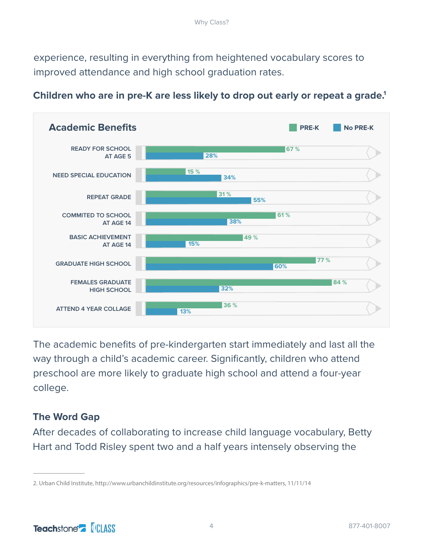experience, resulting in everything from heightened vocabulary scores to improved attendance and high school graduation rates.



## **Children who are in pre-K are less likely to drop out early or repeat a grade.1**

The academic benefits of pre-kindergarten start immediately and last all the way through a child's academic career. Significantly, children who attend preschool are more likely to graduate high school and attend a four-year college.

## **The Word Gap**

After decades of collaborating to increase child language vocabulary, Betty Hart and Todd Risley spent two and a half years intensely observing the

<sup>2.</sup> Urban Child Institute, http://www.urbanchildinstitute.org/resources/infographics/pre-k-matters, 11/11/14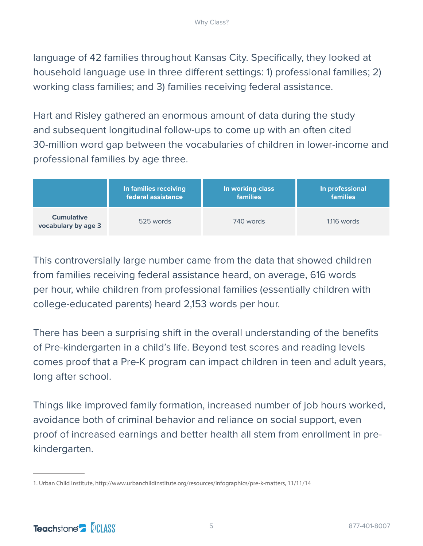language of 42 families throughout Kansas City. Specifically, they looked at household language use in three different settings: 1) professional families; 2) working class families; and 3) families receiving federal assistance.

Hart and Risley gathered an enormous amount of data during the study and subsequent longitudinal follow-ups to come up with an often cited 30-million word gap between the vocabularies of children in lower-income and professional families by age three.

|                                          | In families receiving | In working-class | In professional |
|------------------------------------------|-----------------------|------------------|-----------------|
|                                          | federal assistance    | <b>families</b>  | <b>families</b> |
| <b>Cumulative</b><br>vocabulary by age 3 | 525 words             | 740 words        | $1,116$ words   |

This controversially large number came from the data that showed children from families receiving federal assistance heard, on average, 616 words per hour, while children from professional families (essentially children with college-educated parents) heard 2,153 words per hour.

There has been a surprising shift in the overall understanding of the benefits of Pre-kindergarten in a child's life. Beyond test scores and reading levels comes proof that a Pre-K program can impact children in teen and adult years, long after school.

Things like improved family formation, increased number of job hours worked, avoidance both of criminal behavior and reliance on social support, even proof of increased earnings and better health all stem from enrollment in prekindergarten.

<sup>1.</sup> Urban Child Institute, http://www.urbanchildinstitute.org/resources/infographics/pre-k-matters, 11/11/14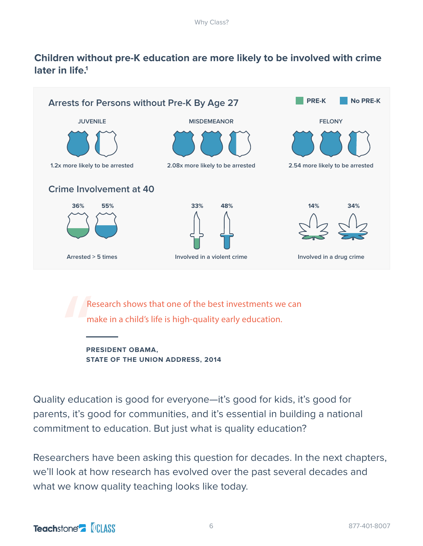## **Children without pre-K education are more likely to be involved with crime later in life.1**



PR<br>
m<br>
PF<br>
ST<br>
ST Research shows that one of the best investments we can make in a child's life is high-quality early education.

**PRESIDENT OBAMA, STATE OF THE UNION ADDRESS, 2014**

Quality education is good for everyone—it's good for kids, it's good for parents, it's good for communities, and it's essential in building a national commitment to education. But just what is quality education?

Researchers have been asking this question for decades. In the next chapters, we'll look at how research has evolved over the past several decades and what we know quality teaching looks like today.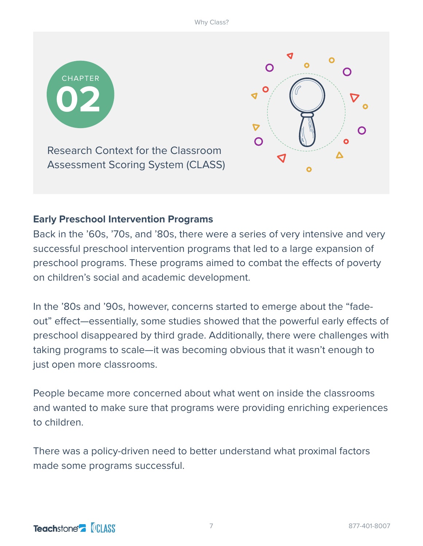



Research Context for the Classroom Assessment Scoring System (CLASS)

## **Early Preschool Intervention Programs**

Back in the '60s, '70s, and '80s, there were a series of very intensive and very successful preschool intervention programs that led to a large expansion of preschool programs. These programs aimed to combat the effects of poverty on children's social and academic development.

In the '80s and '90s, however, concerns started to emerge about the "fadeout" effect—essentially, some studies showed that the powerful early effects of preschool disappeared by third grade. Additionally, there were challenges with taking programs to scale—it was becoming obvious that it wasn't enough to just open more classrooms.

People became more concerned about what went on inside the classrooms and wanted to make sure that programs were providing enriching experiences to children.

There was a policy-driven need to better understand what proximal factors made some programs successful.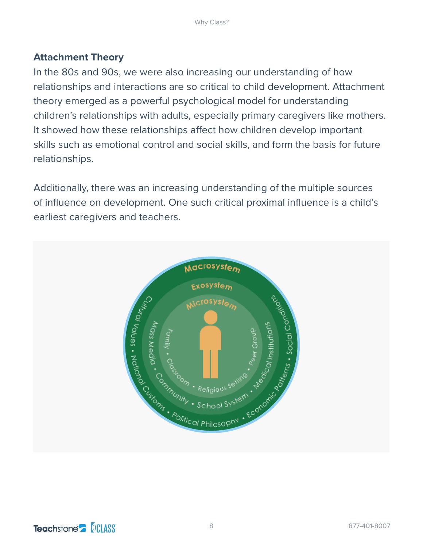## **Attachment Theory**

In the 80s and 90s, we were also increasing our understanding of how relationships and interactions are so critical to child development. Attachment theory emerged as a powerful psychological model for understanding children's relationships with adults, especially primary caregivers like mothers. It showed how these relationships affect how children develop important skills such as emotional control and social skills, and form the basis for future relationships.

Additionally, there was an increasing understanding of the multiple sources of influence on development. One such critical proximal influence is a child's earliest caregivers and teachers.

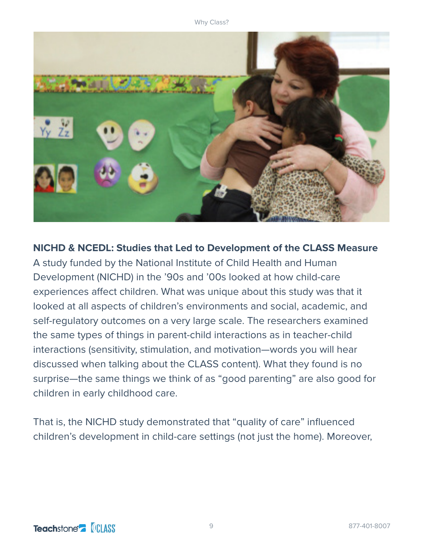

**NICHD & NCEDL: Studies that Led to Development of the CLASS Measure** A study funded by the National Institute of Child Health and Human Development (NICHD) in the '90s and '00s looked at how child-care experiences affect children. What was unique about this study was that it looked at all aspects of children's environments and social, academic, and self-regulatory outcomes on a very large scale. The researchers examined the same types of things in parent-child interactions as in teacher-child interactions (sensitivity, stimulation, and motivation—words you will hear discussed when talking about the CLASS content). What they found is no surprise—the same things we think of as "good parenting" are also good for children in early childhood care.

That is, the NICHD study demonstrated that "quality of care" influenced children's development in child-care settings (not just the home). Moreover,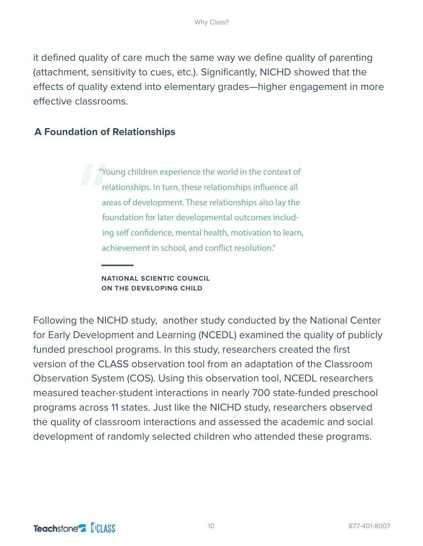it defined quality of care much the same way we define quality of parenting (attachment, sensitivity to cues, etc.). Significantly, NICHD showed that the effects of quality extend into elementary grades—higher engagement in more effective classrooms.

### **A Foundation of Relationships**

e<br>
The area<br>
of the contract of the contract of the contract of the contract of the contract of the contract of the contract of the contract of the contract of the contract of the contract of the contract of the contract o "Young children experience the world in the context of relationships. In turn, these relationships influence all areas of development. These relationships also lay the foundation for later developmental outcomes including self confidence, mental health, motivation to learn, achievement in school, and conflict resolution."

#### **NATIONAL SCIENTIC COUNCIL ON THE DEVELOPING CHILD**

Following the NICHD study, another study conducted by the National Center for Early Development and Learning (NCEDL) examined the quality of publicly funded preschool programs. In this study, researchers created the first version of the CLASS observation tool from an adaptation of the Classroom Observation System (COS). Using this observation tool, NCEDL researchers measured teacher-student interactions in nearly 700 state-funded preschool programs across 11 states. Just like the NICHD study, researchers observed the quality of classroom interactions and assessed the academic and social development of randomly selected children who attended these programs.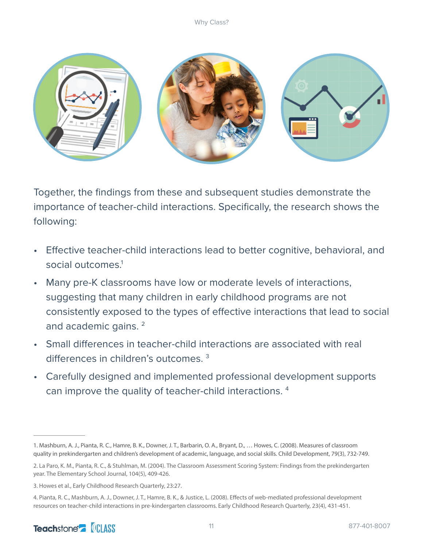

Together, the findings from these and subsequent studies demonstrate the importance of teacher-child interactions. Specifically, the research shows the following:

- Effective teacher-child interactions lead to better cognitive, behavioral, and social outcomes.<sup>1</sup>
- Many pre-K classrooms have low or moderate levels of interactions, suggesting that many children in early childhood programs are not consistently exposed to the types of effective interactions that lead to social and academic gains.<sup>2</sup>
- Small differences in teacher-child interactions are associated with real differences in children's outcomes. 3
- Carefully designed and implemented professional development supports can improve the quality of teacher-child interactions. 4

<sup>1.</sup> Mashburn, A. J., Pianta, R. C., Hamre, B. K., Downer, J. T., Barbarin, O. A., Bryant, D., … Howes, C. (2008). Measures of classroom quality in prekindergarten and children's development of academic, language, and social skills. Child Development, 79(3), 732-749.

<sup>2.</sup> La Paro, K. M., Pianta, R. C., & Stuhlman, M. (2004). The Classroom Assessment Scoring System: Findings from the prekindergarten year. The Elementary School Journal, 104(5), 409-426.

<sup>3.</sup> Howes et al., Early Childhood Research Quarterly, 23:27.

<sup>4.</sup> Pianta, R. C., Mashburn, A. J., Downer, J. T., Hamre, B. K., & Justice, L. (2008). Effects of web-mediated professional development resources on teacher-child interactions in pre-kindergarten classrooms. Early Childhood Research Quarterly, 23(4), 431-451.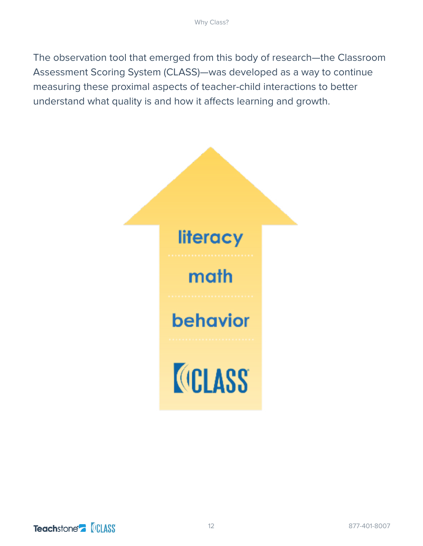The observation tool that emerged from this body of research—the Classroom Assessment Scoring System (CLASS)—was developed as a way to continue measuring these proximal aspects of teacher-child interactions to better understand what quality is and how it affects learning and growth.

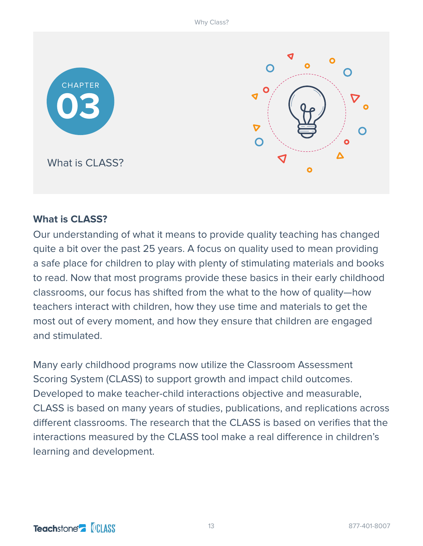

# ◀  $\mathbf O$  $\blacktriangledown$  $\boldsymbol{\nabla}$  $\bigcap$ Δ J  $\overline{\mathbf{o}}$

## **What is CLASS?**

Our understanding of what it means to provide quality teaching has changed quite a bit over the past 25 years. A focus on quality used to mean providing a safe place for children to play with plenty of stimulating materials and books to read. Now that most programs provide these basics in their early childhood classrooms, our focus has shifted from the what to the how of quality—how teachers interact with children, how they use time and materials to get the most out of every moment, and how they ensure that children are engaged and stimulated.

Many early childhood programs now utilize the Classroom Assessment Scoring System (CLASS) to support growth and impact child outcomes. Developed to make teacher-child interactions objective and measurable, CLASS is based on many years of studies, publications, and replications across different classrooms. The research that the CLASS is based on verifies that the interactions measured by the CLASS tool make a real difference in children's learning and development.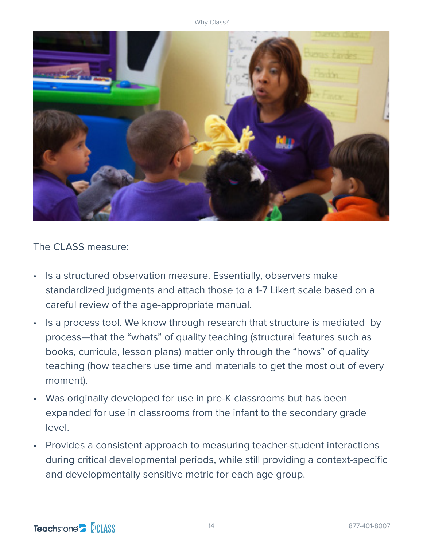

The CLASS measure:

- Is a structured observation measure. Essentially, observers make standardized judgments and attach those to a 1-7 Likert scale based on a careful review of the age-appropriate manual.
- Is a process tool. We know through research that structure is mediated by process—that the "whats" of quality teaching (structural features such as books, curricula, lesson plans) matter only through the "hows" of quality teaching (how teachers use time and materials to get the most out of every moment).
- Was originally developed for use in pre-K classrooms but has been expanded for use in classrooms from the infant to the secondary grade level.
- Provides a consistent approach to measuring teacher-student interactions during critical developmental periods, while still providing a context-specific and developmentally sensitive metric for each age group.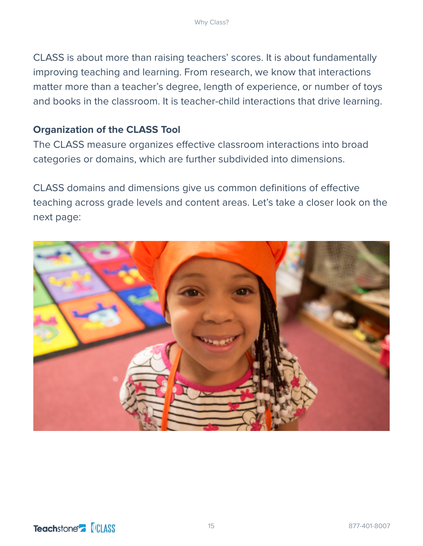CLASS is about more than raising teachers' scores. It is about fundamentally improving teaching and learning. From research, we know that interactions matter more than a teacher's degree, length of experience, or number of toys and books in the classroom. It is teacher-child interactions that drive learning.

## **Organization of the CLASS Tool**

The CLASS measure organizes effective classroom interactions into broad categories or domains, which are further subdivided into dimensions.

CLASS domains and dimensions give us common definitions of effective teaching across grade levels and content areas. Let's take a closer look on the next page:

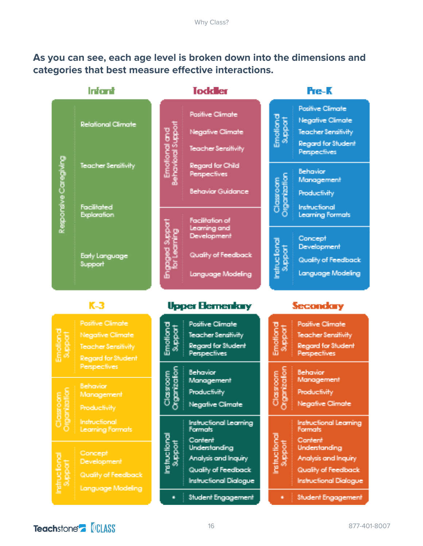## **As you can see, each age level is broken down into the dimensions and categories that best measure effective interactions.**

|                                  | Infont                                                                                                 | <b>Toddler</b>                                                                                                            | Fre-K                                                                                                                                                 |
|----------------------------------|--------------------------------------------------------------------------------------------------------|---------------------------------------------------------------------------------------------------------------------------|-------------------------------------------------------------------------------------------------------------------------------------------------------|
|                                  | <b>Relational Climate:</b>                                                                             | <b>Positive Climate</b><br>Behavioral Suppor<br>Emotional and<br><b>Negative Climate</b><br>Teacher Sensitivity           | <b>Positive Climate</b><br>Emational<br>Support<br><b>Negative Climate</b><br>Teacher Sensitivity<br><b>Regard for Student</b><br><b>Perspectives</b> |
| Respondive Caregiving            | Teacher Sensitivity                                                                                    | Regard for Child<br>Perspectives<br><b>Behavior Guidance</b>                                                              | Behavior<br>rganizatlor<br>Management<br>Clossoom<br>Productivity                                                                                     |
|                                  | Facilitated<br>Exploration                                                                             | Facilitation of<br>Learning and                                                                                           | Instructional<br><b>Learning Formats</b>                                                                                                              |
|                                  | <b>Early Language</b><br>Support                                                                       | Engaged Suppor<br>or Learning<br>Development<br>Quality of Feedback<br>Language Modeling                                  | Concept<br>Instructional<br>Support<br>Development<br>Quality of Feedback<br>Language Modeling                                                        |
|                                  | $K-3$                                                                                                  | <b>Upper Elementary</b>                                                                                                   | <b>Secondary</b>                                                                                                                                      |
| Ematland<br>Support              | <b>Pasifive Climate</b><br><b>Negative Climate</b><br><b>Teacher Sensitivity</b><br>Regard for Student | <b>Positive Climate</b><br>Emotlona<br>Support<br><b>Teacher Sensitivity</b><br>Regard for Student<br><b>Perspectives</b> | <b>Positive Climate</b><br>Emotional<br>Support<br>Teacher Sensitivity<br>Regard for Student<br><b>Perspectives</b>                                   |
| C.<br>gerizatio<br><b>Sobool</b> | Perspectives<br>Behavior<br>Management<br>Productivity                                                 | nization<br>Behavior<br><b>Moots</b><br>Management<br>Productivity<br>$\frac{8}{5}$<br>ā<br>Negative Climate              | mizaton<br>Behavior<br><b>Moou</b><br>Management<br>Productivity<br>8<br>Ö<br><b>Negative Climate</b>                                                 |
|                                  | Instructional<br><b>Learning Formats</b>                                                               | Instructional Learning<br><b>Formats</b><br>뎁<br>Content                                                                  | <b>Instructional Learning</b><br><b>Formats</b><br>E<br>Content                                                                                       |

Concept Development Quality of Feedback

Language Modeling

Teachstone<sup>-</sup> **CLASS** 

|             | Teacher Sensitivity<br><b>Regard for Student</b><br>Perspectives                                                                                     |
|-------------|------------------------------------------------------------------------------------------------------------------------------------------------------|
| S<br>Sa     | Behavior<br>Management<br>Productivity<br>Negative Climate                                                                                           |
| ratructiona | <b>Instructional Learning</b><br>Formats<br>Content<br>Understanding<br>Analysis and Inquiry<br>Quality of Feedback<br><b>Instructional Dialogue</b> |
|             | Student Engagement                                                                                                                                   |

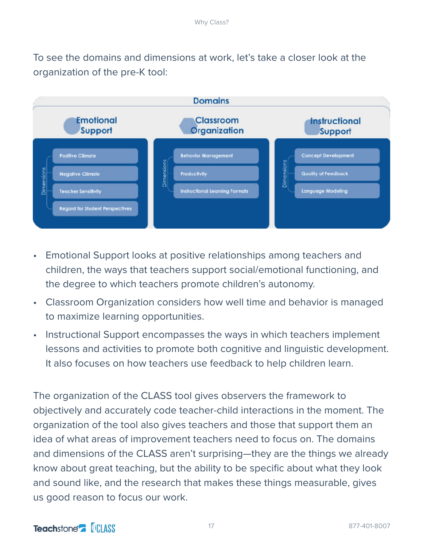To see the domains and dimensions at work, let's take a closer look at the organization of the pre-K tool:



- Emotional Support looks at positive relationships among teachers and children, the ways that teachers support social/emotional functioning, and the degree to which teachers promote children's autonomy.
- Classroom Organization considers how well time and behavior is managed to maximize learning opportunities.
- Instructional Support encompasses the ways in which teachers implement lessons and activities to promote both cognitive and linguistic development. It also focuses on how teachers use feedback to help children learn.

The organization of the CLASS tool gives observers the framework to objectively and accurately code teacher-child interactions in the moment. The organization of the tool also gives teachers and those that support them an idea of what areas of improvement teachers need to focus on. The domains and dimensions of the CLASS aren't surprising—they are the things we already know about great teaching, but the ability to be specific about what they look and sound like, and the research that makes these things measurable, gives us good reason to focus our work.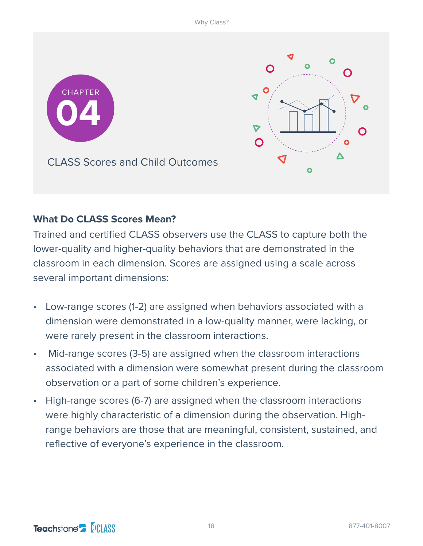

## **What Do CLASS Scores Mean?**

Trained and certified CLASS observers use the CLASS to capture both the lower-quality and higher-quality behaviors that are demonstrated in the classroom in each dimension. Scores are assigned using a scale across several important dimensions:

- Low-range scores (1-2) are assigned when behaviors associated with a dimension were demonstrated in a low-quality manner, were lacking, or were rarely present in the classroom interactions.
- Mid-range scores (3-5) are assigned when the classroom interactions associated with a dimension were somewhat present during the classroom observation or a part of some children's experience.
- High-range scores (6-7) are assigned when the classroom interactions were highly characteristic of a dimension during the observation. Highrange behaviors are those that are meaningful, consistent, sustained, and reflective of everyone's experience in the classroom.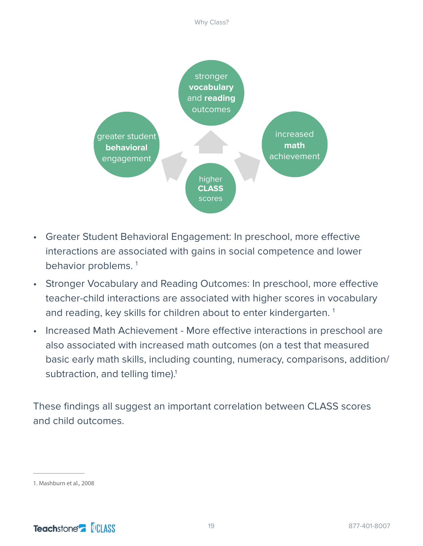

- Greater Student Behavioral Engagement: In preschool, more effective interactions are associated with gains in social competence and lower behavior problems.<sup>1</sup>
- Stronger Vocabulary and Reading Outcomes: In preschool, more effective teacher-child interactions are associated with higher scores in vocabulary and reading, key skills for children about to enter kindergarten.<sup>1</sup>
- Increased Math Achievement More effective interactions in preschool are also associated with increased math outcomes (on a test that measured basic early math skills, including counting, numeracy, comparisons, addition/ subtraction, and telling time).<sup>1</sup>

These findings all suggest an important correlation between CLASS scores and child outcomes.

<sup>1.</sup> Mashburn et al., 2008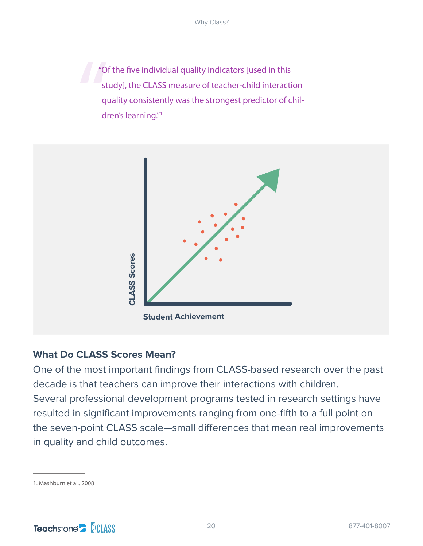$\frac{1}{\pi}$ "Of the five individual quality indicators [used in this study], the CLASS measure of teacher-child interaction quality consistently was the strongest predictor of children's learning."1



## **What Do CLASS Scores Mean?**

One of the most important findings from CLASS-based research over the past decade is that teachers can improve their interactions with children. Several professional development programs tested in research settings have resulted in significant improvements ranging from one-fifth to a full point on the seven-point CLASS scale—small differences that mean real improvements

<sup>1.</sup> Mashburn et al., 2008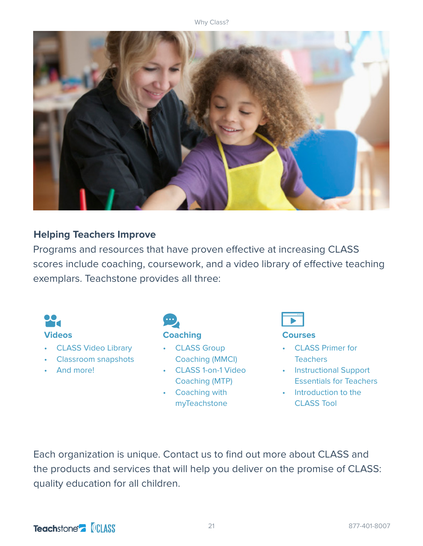

## **Helping Teachers Improve**

Programs and resources that have proven effective at increasing CLASS scores include coaching, coursework, and a video library of effective teaching exemplars. Teachstone provides all three:



Each organization is unique. Contact us to find out more about CLASS and the products and services that will help you deliver on the promise of CLASS: quality education for all children.